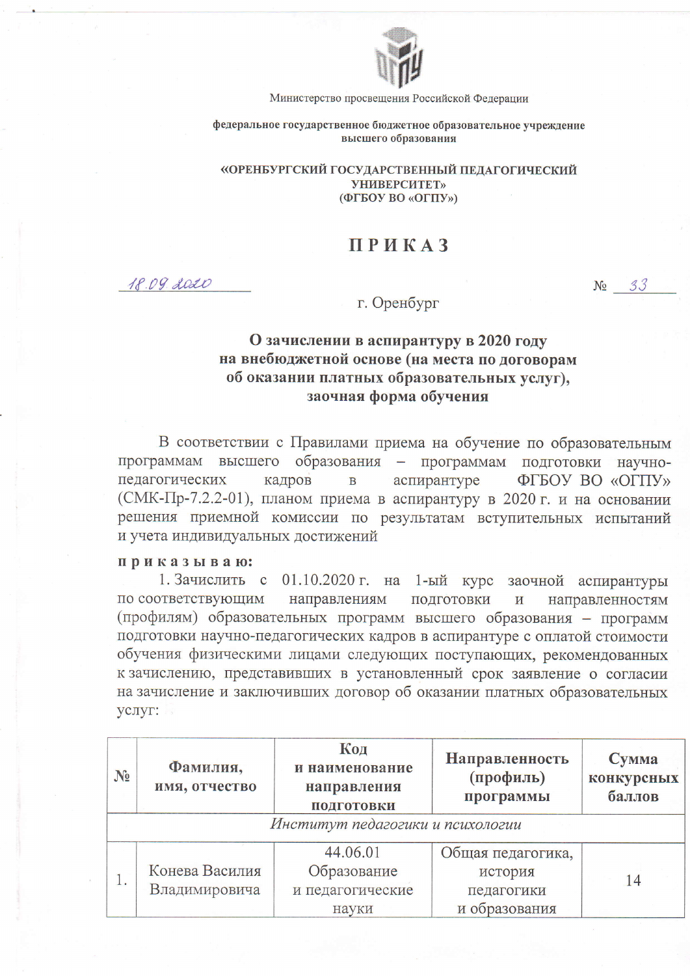

Министерство просвещения Российской Федерации

федеральное государственное бюджетное образовательное учреждение высшего образования

«ОРЕНБУРГСКИЙ ГОСУДАРСТВЕННЫЙ ПЕДАГОГИЧЕСКИЙ **УНИВЕРСИТЕТ»** (ФГБОУ ВО «ОГПУ»)

## **ПРИКАЗ**

18.09. 2020

 $N_2$  33

г. Оренбург

## О зачислении в аспирантуру в 2020 году на внебюджетной основе (на места по договорам об оказании платных образовательных услуг). заочная форма обучения

В соответствии с Правилами приема на обучение по образовательным программам высшего образования - программам подготовки научнопедагогических кадров аспирантуре ФГБОУ ВО «ОГПУ» B (СМК-Пр-7.2.2-01), планом приема в аспирантуру в 2020 г. и на основании решения приемной комиссии по результатам вступительных испытаний и учета индивидуальных достижений

## приказываю:

1. Зачислить с 01.10.2020 г. на 1-ый курс заочной аспирантуры по соответствующим направлениям ПОДГОТОВКИ  $\overline{\mathbf{M}}$ направленностям (профилям) образовательных программ высшего образования - программ подготовки научно-педагогических кадров в аспирантуре с оплатой стоимости обучения физическими лицами следующих поступающих, рекомендованных к зачислению, представивших в установленный срок заявление о согласии на зачисление и заключивших договор об оказании платных образовательных услуг:

| $N_2$ | Фамилия,<br>имя, отчество        | Код<br>и наименование<br>направления<br>ПОДГОТОВКИ | Направленность<br>(профиль)<br>программы | Сумма<br>конкурсных<br>баллов |  |  |  |  |  |  |
|-------|----------------------------------|----------------------------------------------------|------------------------------------------|-------------------------------|--|--|--|--|--|--|
|       | Институт педагогики и психологии |                                                    |                                          |                               |  |  |  |  |  |  |
|       |                                  | 44.06.01                                           | Общая педагогика,                        |                               |  |  |  |  |  |  |
|       | Конева Василия                   | Образование                                        | история                                  | 14                            |  |  |  |  |  |  |
|       | Владимировича                    | и педагогические                                   | педагогики                               |                               |  |  |  |  |  |  |
|       |                                  | науки                                              | и образования                            |                               |  |  |  |  |  |  |